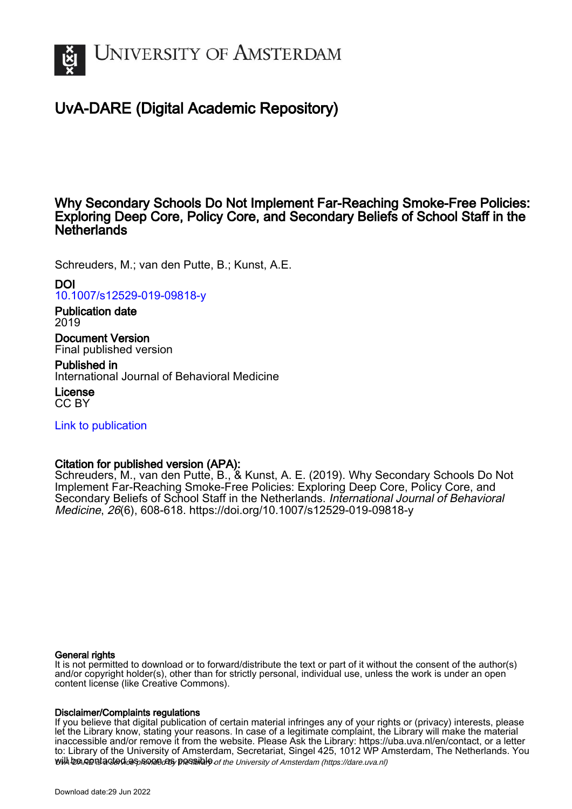

# UvA-DARE (Digital Academic Repository)

## Why Secondary Schools Do Not Implement Far-Reaching Smoke-Free Policies: Exploring Deep Core, Policy Core, and Secondary Beliefs of School Staff in the **Netherlands**

Schreuders, M.; van den Putte, B.; Kunst, A.E.

## DOI

[10.1007/s12529-019-09818-y](https://doi.org/10.1007/s12529-019-09818-y)

## Publication date 2019

Document Version Final published version

## Published in

International Journal of Behavioral Medicine

License CC BY

[Link to publication](https://dare.uva.nl/personal/pure/en/publications/why-secondary-schools-do-not-implement-farreaching-smokefree-policies-exploring-deep-core-policy-core-and-secondary-beliefs-of-school-staff-in-the-netherlands(7073220e-62ad-4f80-b84b-a755e6af113a).html)

## Citation for published version (APA):

Schreuders, M., van den Putte, B., & Kunst, A. E. (2019). Why Secondary Schools Do Not Implement Far-Reaching Smoke-Free Policies: Exploring Deep Core, Policy Core, and Secondary Beliefs of School Staff in the Netherlands. International Journal of Behavioral Medicine, 26(6), 608-618. <https://doi.org/10.1007/s12529-019-09818-y>

#### General rights

It is not permitted to download or to forward/distribute the text or part of it without the consent of the author(s) and/or copyright holder(s), other than for strictly personal, individual use, unless the work is under an open content license (like Creative Commons).

## Disclaimer/Complaints regulations

will be contacted as sontacty pessible of the University of Amsterdam (https://dare.uva.nl) If you believe that digital publication of certain material infringes any of your rights or (privacy) interests, please let the Library know, stating your reasons. In case of a legitimate complaint, the Library will make the material inaccessible and/or remove it from the website. Please Ask the Library: https://uba.uva.nl/en/contact, or a letter to: Library of the University of Amsterdam, Secretariat, Singel 425, 1012 WP Amsterdam, The Netherlands. You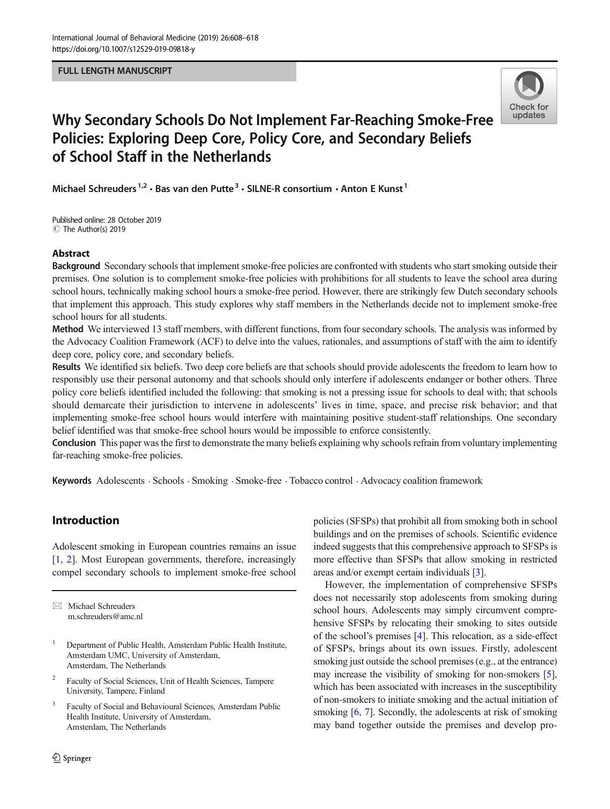#### FULL LENGTH MANUSCRIPT



# Why Secondary Schools Do Not Implement Far-Reaching Smoke-Free Policies: Exploring Deep Core, Policy Core, and Secondary Beliefs of School Staff in the Netherlands

Michael Schreuders<sup>1,2</sup> · Bas van den Putte<sup>3</sup> · SILNE-R consortium · Anton E Kunst<sup>1</sup>

C The Author(s) 2019 Published online: 28 October 2019

#### Abstract

Background Secondary schools that implement smoke-free policies are confronted with students who start smoking outside their premises. One solution is to complement smoke-free policies with prohibitions for all students to leave the school area during school hours, technically making school hours a smoke-free period. However, there are strikingly few Dutch secondary schools that implement this approach. This study explores why staff members in the Netherlands decide not to implement smoke-free school hours for all students.

Method We interviewed 13 staff members, with different functions, from four secondary schools. The analysis was informed by the Advocacy Coalition Framework (ACF) to delve into the values, rationales, and assumptions of staff with the aim to identify deep core, policy core, and secondary beliefs.

Results We identified six beliefs. Two deep core beliefs are that schools should provide adolescents the freedom to learn how to responsibly use their personal autonomy and that schools should only interfere if adolescents endanger or bother others. Three policy core beliefs identified included the following: that smoking is not a pressing issue for schools to deal with; that schools should demarcate their jurisdiction to intervene in adolescents' lives in time, space, and precise risk behavior; and that implementing smoke-free school hours would interfere with maintaining positive student-staff relationships. One secondary belief identified was that smoke-free school hours would be impossible to enforce consistently.

Conclusion This paper was the first to demonstrate the many beliefs explaining why schools refrain from voluntary implementing far-reaching smoke-free policies.

Keywords Adolescents . Schools . Smoking . Smoke-free . Tobacco control . Advocacy coalition framework

## Introduction

Adolescent smoking in European countries remains an issue [\[1](#page-10-0), [2](#page-10-0)]. Most European governments, therefore, increasingly compel secondary schools to implement smoke-free school

 $\boxtimes$  Michael Schreuders [m.schreuders@amc.nl](mailto:m.schreuders@amc.nl)

- <sup>1</sup> Department of Public Health, Amsterdam Public Health Institute, Amsterdam UMC, University of Amsterdam, Amsterdam, The Netherlands
- <sup>2</sup> Faculty of Social Sciences, Unit of Health Sciences, Tampere University, Tampere, Finland
- Faculty of Social and Behavioural Sciences, Amsterdam Public Health Institute, University of Amsterdam, Amsterdam, The Netherlands

policies (SFSPs) that prohibit all from smoking both in school buildings and on the premises of schools. Scientific evidence indeed suggests that this comprehensive approach to SFSPs is more effective than SFSPs that allow smoking in restricted areas and/or exempt certain individuals [\[3](#page-10-0)].

However, the implementation of comprehensive SFSPs does not necessarily stop adolescents from smoking during school hours. Adolescents may simply circumvent comprehensive SFSPs by relocating their smoking to sites outside of the school's premises [[4](#page-10-0)]. This relocation, as a side-effect of SFSPs, brings about its own issues. Firstly, adolescent smoking just outside the school premises (e.g., at the entrance) may increase the visibility of smoking for non-smokers [[5\]](#page-10-0), which has been associated with increases in the susceptibility of non-smokers to initiate smoking and the actual initiation of smoking [[6,](#page-10-0) [7\]](#page-10-0). Secondly, the adolescents at risk of smoking may band together outside the premises and develop pro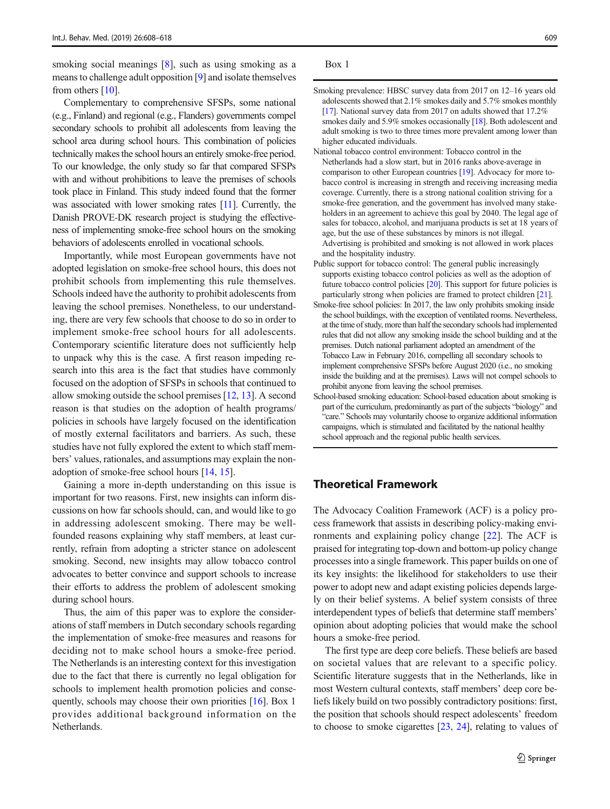smoking social meanings [[8\]](#page-10-0), such as using smoking as a means to challenge adult opposition [\[9](#page-10-0)] and isolate themselves from others [[10\]](#page-10-0).

Complementary to comprehensive SFSPs, some national (e.g., Finland) and regional (e.g., Flanders) governments compel secondary schools to prohibit all adolescents from leaving the school area during school hours. This combination of policies technically makes the school hours an entirely smoke-free period. To our knowledge, the only study so far that compared SFSPs with and without prohibitions to leave the premises of schools took place in Finland. This study indeed found that the former was associated with lower smoking rates [\[11](#page-10-0)]. Currently, the Danish PROVE-DK research project is studying the effectiveness of implementing smoke-free school hours on the smoking behaviors of adolescents enrolled in vocational schools.

Importantly, while most European governments have not adopted legislation on smoke-free school hours, this does not prohibit schools from implementing this rule themselves. Schools indeed have the authority to prohibit adolescents from leaving the school premises. Nonetheless, to our understanding, there are very few schools that choose to do so in order to implement smoke-free school hours for all adolescents. Contemporary scientific literature does not sufficiently help to unpack why this is the case. A first reason impeding research into this area is the fact that studies have commonly focused on the adoption of SFSPs in schools that continued to allow smoking outside the school premises [\[12,](#page-10-0) [13](#page-10-0)]. A second reason is that studies on the adoption of health programs/ policies in schools have largely focused on the identification of mostly external facilitators and barriers. As such, these studies have not fully explored the extent to which staff members' values, rationales, and assumptions may explain the nonadoption of smoke-free school hours [[14](#page-10-0), [15](#page-10-0)].

Gaining a more in-depth understanding on this issue is important for two reasons. First, new insights can inform discussions on how far schools should, can, and would like to go in addressing adolescent smoking. There may be wellfounded reasons explaining why staff members, at least currently, refrain from adopting a stricter stance on adolescent smoking. Second, new insights may allow tobacco control advocates to better convince and support schools to increase their efforts to address the problem of adolescent smoking during school hours.

Thus, the aim of this paper was to explore the considerations of staff members in Dutch secondary schools regarding the implementation of smoke-free measures and reasons for deciding not to make school hours a smoke-free period. The Netherlands is an interesting context for this investigation due to the fact that there is currently no legal obligation for schools to implement health promotion policies and consequently, schools may choose their own priorities [[16\]](#page-10-0). Box 1 provides additional background information on the Netherlands.

Box 1

- Smoking prevalence: HBSC survey data from 2017 on 12–16 years old adolescents showed that 2.1% smokes daily and 5.7% smokes monthly [\[17\]](#page-11-0). National survey data from 2017 on adults showed that 17.2% smokes daily and 5.9% smokes occasionally [[18\]](#page-11-0). Both adolescent and adult smoking is two to three times more prevalent among lower than higher educated individuals.
- National tobacco control environment: Tobacco control in the Netherlands had a slow start, but in 2016 ranks above-average in comparison to other European countries [\[19](#page-11-0)]. Advocacy for more tobacco control is increasing in strength and receiving increasing media coverage. Currently, there is a strong national coalition striving for a smoke-free generation, and the government has involved many stakeholders in an agreement to achieve this goal by 2040. The legal age of sales for tobacco, alcohol, and marijuana products is set at 18 years of age, but the use of these substances by minors is not illegal. Advertising is prohibited and smoking is not allowed in work places and the hospitality industry.
- Public support for tobacco control: The general public increasingly supports existing tobacco control policies as well as the adoption of future tobacco control policies [\[20\]](#page-11-0). This support for future policies is particularly strong when policies are framed to protect children [\[21](#page-11-0)].
- Smoke-free school policies: In 2017, the law only prohibits smoking inside the school buildings, with the exception of ventilated rooms. Nevertheless, at the time of study, more than half the secondary schools had implemented rules that did not allow any smoking inside the school building and at the premises. Dutch national parliament adopted an amendment of the Tobacco Law in February 2016, compelling all secondary schools to implement comprehensive SFSPs before August 2020 (i.e., no smoking inside the building and at the premises). Laws will not compel schools to prohibit anyone from leaving the school premises.
- School-based smoking education: School-based education about smoking is part of the curriculum, predominantly as part of the subjects "biology" and "care." Schools may voluntarily choose to organize additional information campaigns, which is stimulated and facilitated by the national healthy school approach and the regional public health services.

## Theoretical Framework

The Advocacy Coalition Framework (ACF) is a policy process framework that assists in describing policy-making environments and explaining policy change [\[22](#page-11-0)]. The ACF is praised for integrating top-down and bottom-up policy change processes into a single framework. This paper builds on one of its key insights: the likelihood for stakeholders to use their power to adopt new and adapt existing policies depends largely on their belief systems. A belief system consists of three interdependent types of beliefs that determine staff members' opinion about adopting policies that would make the school hours a smoke-free period.

The first type are deep core beliefs. These beliefs are based on societal values that are relevant to a specific policy. Scientific literature suggests that in the Netherlands, like in most Western cultural contexts, staff members' deep core beliefs likely build on two possibly contradictory positions: first, the position that schools should respect adolescents' freedom to choose to smoke cigarettes [\[23](#page-11-0), [24\]](#page-11-0), relating to values of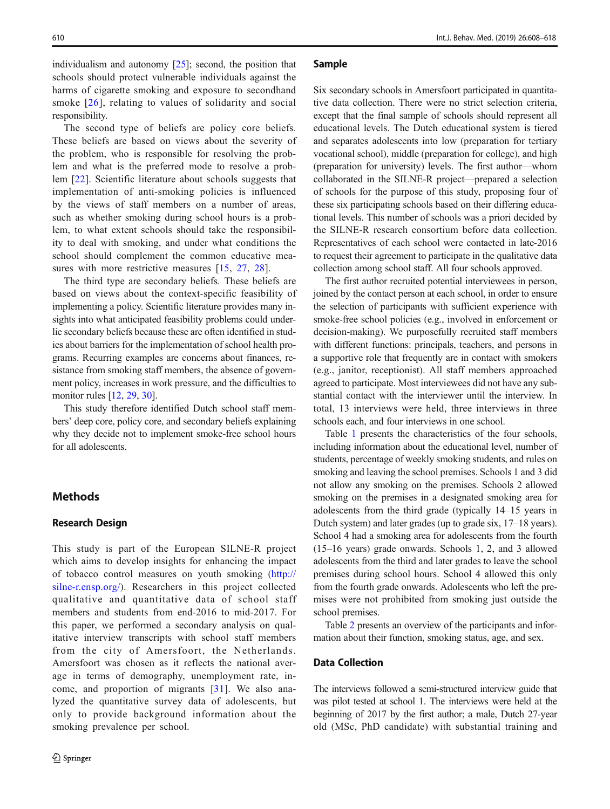individualism and autonomy [[25\]](#page-11-0); second, the position that schools should protect vulnerable individuals against the harms of cigarette smoking and exposure to secondhand smoke [[26\]](#page-11-0), relating to values of solidarity and social responsibility.

The second type of beliefs are policy core beliefs. These beliefs are based on views about the severity of the problem, who is responsible for resolving the problem and what is the preferred mode to resolve a problem [\[22](#page-11-0)]. Scientific literature about schools suggests that implementation of anti-smoking policies is influenced by the views of staff members on a number of areas, such as whether smoking during school hours is a problem, to what extent schools should take the responsibility to deal with smoking, and under what conditions the school should complement the common educative mea-sures with more restrictive measures [[15](#page-10-0), [27](#page-11-0), [28\]](#page-11-0).

The third type are secondary beliefs. These beliefs are based on views about the context-specific feasibility of implementing a policy. Scientific literature provides many insights into what anticipated feasibility problems could underlie secondary beliefs because these are often identified in studies about barriers for the implementation of school health programs. Recurring examples are concerns about finances, resistance from smoking staff members, the absence of government policy, increases in work pressure, and the difficulties to monitor rules [[12,](#page-10-0) [29](#page-11-0), [30](#page-11-0)].

This study therefore identified Dutch school staff members' deep core, policy core, and secondary beliefs explaining why they decide not to implement smoke-free school hours for all adolescents.

### **Methods**

#### Research Design

This study is part of the European SILNE-R project which aims to develop insights for enhancing the impact of tobacco control measures on youth smoking ([http://](http://silne-r.ensp.org/) [silne-r.ensp.org/](http://silne-r.ensp.org/)). Researchers in this project collected qualitative and quantitative data of school staff members and students from end-2016 to mid-2017. For this paper, we performed a secondary analysis on qualitative interview transcripts with school staff members from the city of Amersfoort, the Netherlands. Amersfoort was chosen as it reflects the national average in terms of demography, unemployment rate, income, and proportion of migrants [[31](#page-11-0)]. We also analyzed the quantitative survey data of adolescents, but only to provide background information about the smoking prevalence per school.

#### Sample

Six secondary schools in Amersfoort participated in quantitative data collection. There were no strict selection criteria, except that the final sample of schools should represent all educational levels. The Dutch educational system is tiered and separates adolescents into low (preparation for tertiary vocational school), middle (preparation for college), and high (preparation for university) levels. The first author—whom collaborated in the SILNE-R project—prepared a selection of schools for the purpose of this study, proposing four of these six participating schools based on their differing educational levels. This number of schools was a priori decided by the SILNE-R research consortium before data collection. Representatives of each school were contacted in late-2016 to request their agreement to participate in the qualitative data collection among school staff. All four schools approved.

The first author recruited potential interviewees in person, joined by the contact person at each school, in order to ensure the selection of participants with sufficient experience with smoke-free school policies (e.g., involved in enforcement or decision-making). We purposefully recruited staff members with different functions: principals, teachers, and persons in a supportive role that frequently are in contact with smokers (e.g., janitor, receptionist). All staff members approached agreed to participate. Most interviewees did not have any substantial contact with the interviewer until the interview. In total, 13 interviews were held, three interviews in three schools each, and four interviews in one school.

Table [1](#page-4-0) presents the characteristics of the four schools, including information about the educational level, number of students, percentage of weekly smoking students, and rules on smoking and leaving the school premises. Schools 1 and 3 did not allow any smoking on the premises. Schools 2 allowed smoking on the premises in a designated smoking area for adolescents from the third grade (typically 14–15 years in Dutch system) and later grades (up to grade six, 17–18 years). School 4 had a smoking area for adolescents from the fourth (15–16 years) grade onwards. Schools 1, 2, and 3 allowed adolescents from the third and later grades to leave the school premises during school hours. School 4 allowed this only from the fourth grade onwards. Adolescents who left the premises were not prohibited from smoking just outside the school premises.

Table [2](#page-4-0) presents an overview of the participants and information about their function, smoking status, age, and sex.

#### Data Collection

The interviews followed a semi-structured interview guide that was pilot tested at school 1. The interviews were held at the beginning of 2017 by the first author; a male, Dutch 27-year old (MSc, PhD candidate) with substantial training and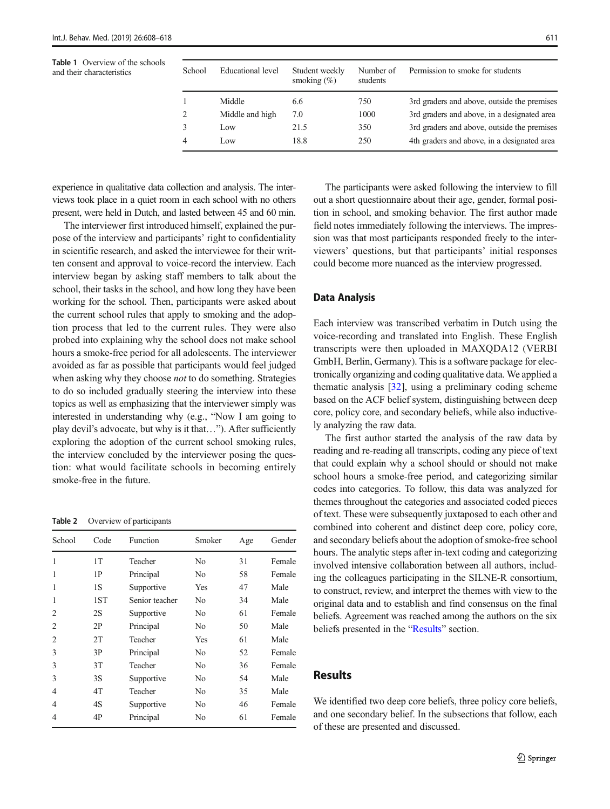<span id="page-4-0"></span>Table 1 Overview of the schools and their characteristics

| School         | Educational level | Student weekly<br>smoking $(\%)$ | Number of<br>students | Permission to smoke for students            |
|----------------|-------------------|----------------------------------|-----------------------|---------------------------------------------|
|                | Middle            | 6.6                              | 750                   | 3rd graders and above, outside the premises |
| 2              | Middle and high   | 7.0                              | 1000                  | 3rd graders and above, in a designated area |
|                | Low               | 21.5                             | 350                   | 3rd graders and above, outside the premises |
| $\overline{4}$ | Low               | 18.8                             | 250                   | 4th graders and above, in a designated area |

experience in qualitative data collection and analysis. The interviews took place in a quiet room in each school with no others present, were held in Dutch, and lasted between 45 and 60 min.

The interviewer first introduced himself, explained the purpose of the interview and participants' right to confidentiality in scientific research, and asked the interviewee for their written consent and approval to voice-record the interview. Each interview began by asking staff members to talk about the school, their tasks in the school, and how long they have been working for the school. Then, participants were asked about the current school rules that apply to smoking and the adoption process that led to the current rules. They were also probed into explaining why the school does not make school hours a smoke-free period for all adolescents. The interviewer avoided as far as possible that participants would feel judged when asking why they choose not to do something. Strategies to do so included gradually steering the interview into these topics as well as emphasizing that the interviewer simply was interested in understanding why (e.g., "Now I am going to play devil's advocate, but why is it that…"). After sufficiently exploring the adoption of the current school smoking rules, the interview concluded by the interviewer posing the question: what would facilitate schools in becoming entirely smoke-free in the future.

Table 2 Overview of participants

| School         | Code | Function       | Smoker         | Age | Gender |
|----------------|------|----------------|----------------|-----|--------|
| 1              | 1T   | Teacher        | N <sub>0</sub> | 31  | Female |
| 1              | 1P   | Principal      | No.            | 58  | Female |
| 1              | 1S   | Supportive     | <b>Yes</b>     | 47  | Male   |
| 1              | 1ST  | Senior teacher | No.            | 34  | Male   |
| 2              | 2S   | Supportive     | No.            | 61  | Female |
| 2              | 2P   | Principal      | No             | 50  | Male   |
| $\overline{2}$ | 2T   | Teacher        | Yes            | 61  | Male   |
| 3              | 3P   | Principal      | No.            | 52  | Female |
| 3              | 3T   | Teacher        | No             | 36  | Female |
| 3              | 3S   | Supportive     | No             | 54  | Male   |
| $\overline{4}$ | 4T   | Teacher        | No.            | 35  | Male   |
| 4              | 4S   | Supportive     | No.            | 46  | Female |
| 4              | 4P   | Principal      | No             | 61  | Female |

The participants were asked following the interview to fill out a short questionnaire about their age, gender, formal position in school, and smoking behavior. The first author made field notes immediately following the interviews. The impression was that most participants responded freely to the interviewers' questions, but that participants' initial responses could become more nuanced as the interview progressed.

#### Data Analysis

Each interview was transcribed verbatim in Dutch using the voice-recording and translated into English. These English transcripts were then uploaded in MAXQDA12 (VERBI GmbH, Berlin, Germany). This is a software package for electronically organizing and coding qualitative data. We applied a thematic analysis [\[32](#page-11-0)], using a preliminary coding scheme based on the ACF belief system, distinguishing between deep core, policy core, and secondary beliefs, while also inductively analyzing the raw data.

The first author started the analysis of the raw data by reading and re-reading all transcripts, coding any piece of text that could explain why a school should or should not make school hours a smoke-free period, and categorizing similar codes into categories. To follow, this data was analyzed for themes throughout the categories and associated coded pieces of text. These were subsequently juxtaposed to each other and combined into coherent and distinct deep core, policy core, and secondary beliefs about the adoption of smoke-free school hours. The analytic steps after in-text coding and categorizing involved intensive collaboration between all authors, including the colleagues participating in the SILNE-R consortium, to construct, review, and interpret the themes with view to the original data and to establish and find consensus on the final beliefs. Agreement was reached among the authors on the six beliefs presented in the "Results" section.

## Results

We identified two deep core beliefs, three policy core beliefs, and one secondary belief. In the subsections that follow, each of these are presented and discussed.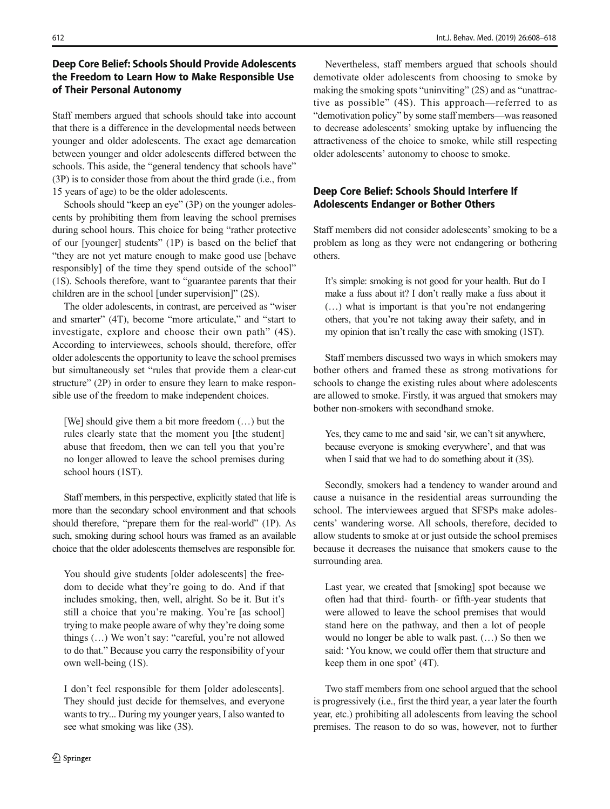## Deep Core Belief: Schools Should Provide Adolescents the Freedom to Learn How to Make Responsible Use of Their Personal Autonomy

Staff members argued that schools should take into account that there is a difference in the developmental needs between younger and older adolescents. The exact age demarcation between younger and older adolescents differed between the schools. This aside, the "general tendency that schools have" (3P) is to consider those from about the third grade (i.e., from 15 years of age) to be the older adolescents.

Schools should "keep an eye" (3P) on the younger adolescents by prohibiting them from leaving the school premises during school hours. This choice for being "rather protective of our [younger] students" (1P) is based on the belief that "they are not yet mature enough to make good use [behave responsibly] of the time they spend outside of the school" (1S). Schools therefore, want to "guarantee parents that their children are in the school [under supervision]" (2S).

The older adolescents, in contrast, are perceived as "wiser and smarter" (4T), become "more articulate," and "start to investigate, explore and choose their own path" (4S). According to interviewees, schools should, therefore, offer older adolescents the opportunity to leave the school premises but simultaneously set "rules that provide them a clear-cut structure" (2P) in order to ensure they learn to make responsible use of the freedom to make independent choices.

[We] should give them a bit more freedom (…) but the rules clearly state that the moment you [the student] abuse that freedom, then we can tell you that you're no longer allowed to leave the school premises during school hours (1ST).

Staff members, in this perspective, explicitly stated that life is more than the secondary school environment and that schools should therefore, "prepare them for the real-world" (1P). As such, smoking during school hours was framed as an available choice that the older adolescents themselves are responsible for.

You should give students [older adolescents] the freedom to decide what they're going to do. And if that includes smoking, then, well, alright. So be it. But it's still a choice that you're making. You're [as school] trying to make people aware of why they're doing some things (…) We won't say: "careful, you're not allowed to do that." Because you carry the responsibility of your own well-being (1S).

I don't feel responsible for them [older adolescents]. They should just decide for themselves, and everyone wants to try... During my younger years, I also wanted to see what smoking was like (3S).

"demotivation policy" by some staff members—was reasoned to decrease adolescents' smoking uptake by influencing the attractiveness of the choice to smoke, while still respecting older adolescents' autonomy to choose to smoke. Deep Core Belief: Schools Should Interfere If Adolescents Endanger or Bother Others

> Staff members did not consider adolescents' smoking to be a problem as long as they were not endangering or bothering others.

> Nevertheless, staff members argued that schools should demotivate older adolescents from choosing to smoke by making the smoking spots "uninviting" (2S) and as "unattractive as possible" (4S). This approach—referred to as

It's simple: smoking is not good for your health. But do I make a fuss about it? I don't really make a fuss about it (…) what is important is that you're not endangering others, that you're not taking away their safety, and in my opinion that isn't really the case with smoking (1ST).

Staff members discussed two ways in which smokers may bother others and framed these as strong motivations for schools to change the existing rules about where adolescents are allowed to smoke. Firstly, it was argued that smokers may bother non-smokers with secondhand smoke.

Yes, they came to me and said 'sir, we can't sit anywhere, because everyone is smoking everywhere', and that was when I said that we had to do something about it (3S).

Secondly, smokers had a tendency to wander around and cause a nuisance in the residential areas surrounding the school. The interviewees argued that SFSPs make adolescents' wandering worse. All schools, therefore, decided to allow students to smoke at or just outside the school premises because it decreases the nuisance that smokers cause to the surrounding area.

Last year, we created that [smoking] spot because we often had that third- fourth- or fifth-year students that were allowed to leave the school premises that would stand here on the pathway, and then a lot of people would no longer be able to walk past. (…) So then we said: 'You know, we could offer them that structure and keep them in one spot' (4T).

Two staff members from one school argued that the school is progressively (i.e., first the third year, a year later the fourth year, etc.) prohibiting all adolescents from leaving the school premises. The reason to do so was, however, not to further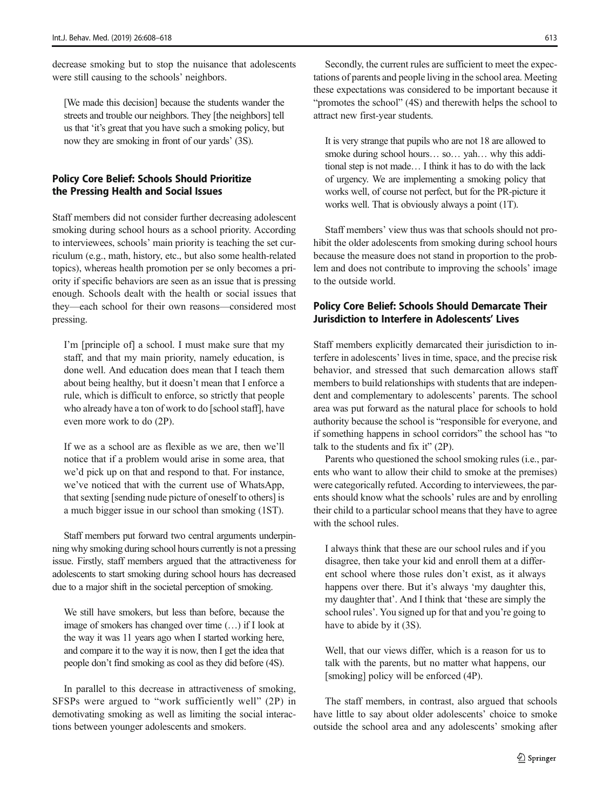decrease smoking but to stop the nuisance that adolescents were still causing to the schools' neighbors.

[We made this decision] because the students wander the streets and trouble our neighbors. They [the neighbors] tell us that 'it's great that you have such a smoking policy, but now they are smoking in front of our yards' (3S).

### Policy Core Belief: Schools Should Prioritize the Pressing Health and Social Issues

Staff members did not consider further decreasing adolescent smoking during school hours as a school priority. According to interviewees, schools' main priority is teaching the set curriculum (e.g., math, history, etc., but also some health-related topics), whereas health promotion per se only becomes a priority if specific behaviors are seen as an issue that is pressing enough. Schools dealt with the health or social issues that they—each school for their own reasons—considered most pressing.

I'm [principle of] a school. I must make sure that my staff, and that my main priority, namely education, is done well. And education does mean that I teach them about being healthy, but it doesn't mean that I enforce a rule, which is difficult to enforce, so strictly that people who already have a ton of work to do [school staff], have even more work to do (2P).

If we as a school are as flexible as we are, then we'll notice that if a problem would arise in some area, that we'd pick up on that and respond to that. For instance, we've noticed that with the current use of WhatsApp, that sexting [sending nude picture of oneself to others] is a much bigger issue in our school than smoking (1ST).

Staff members put forward two central arguments underpinning why smoking during school hours currently is not a pressing issue. Firstly, staff members argued that the attractiveness for adolescents to start smoking during school hours has decreased due to a major shift in the societal perception of smoking.

We still have smokers, but less than before, because the image of smokers has changed over time (…) if I look at the way it was 11 years ago when I started working here, and compare it to the way it is now, then I get the idea that people don't find smoking as cool as they did before (4S).

In parallel to this decrease in attractiveness of smoking, SFSPs were argued to "work sufficiently well" (2P) in demotivating smoking as well as limiting the social interactions between younger adolescents and smokers.

Secondly, the current rules are sufficient to meet the expectations of parents and people living in the school area. Meeting these expectations was considered to be important because it "promotes the school" (4S) and therewith helps the school to attract new first-year students.

It is very strange that pupils who are not 18 are allowed to smoke during school hours... so... yah... why this additional step is not made… I think it has to do with the lack of urgency. We are implementing a smoking policy that works well, of course not perfect, but for the PR-picture it works well. That is obviously always a point (1T).

Staff members' view thus was that schools should not prohibit the older adolescents from smoking during school hours because the measure does not stand in proportion to the problem and does not contribute to improving the schools' image to the outside world.

## Policy Core Belief: Schools Should Demarcate Their Jurisdiction to Interfere in Adolescents' Lives

Staff members explicitly demarcated their jurisdiction to interfere in adolescents' lives in time, space, and the precise risk behavior, and stressed that such demarcation allows staff members to build relationships with students that are independent and complementary to adolescents' parents. The school area was put forward as the natural place for schools to hold authority because the school is "responsible for everyone, and if something happens in school corridors" the school has "to talk to the students and fix it" (2P).

Parents who questioned the school smoking rules (i.e., parents who want to allow their child to smoke at the premises) were categorically refuted. According to interviewees, the parents should know what the schools' rules are and by enrolling their child to a particular school means that they have to agree with the school rules.

I always think that these are our school rules and if you disagree, then take your kid and enroll them at a different school where those rules don't exist, as it always happens over there. But it's always 'my daughter this, my daughter that'. And I think that 'these are simply the school rules'. You signed up for that and you're going to have to abide by it (3S).

Well, that our views differ, which is a reason for us to talk with the parents, but no matter what happens, our [smoking] policy will be enforced (4P).

The staff members, in contrast, also argued that schools have little to say about older adolescents' choice to smoke outside the school area and any adolescents' smoking after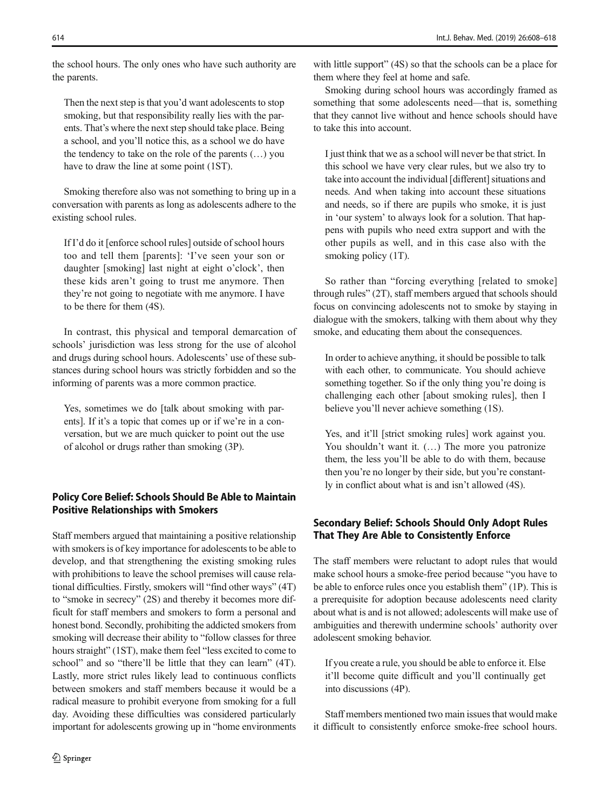the school hours. The only ones who have such authority are the parents.

Then the next step is that you'd want adolescents to stop smoking, but that responsibility really lies with the parents. That's where the next step should take place. Being a school, and you'll notice this, as a school we do have the tendency to take on the role of the parents (…) you have to draw the line at some point (1ST).

Smoking therefore also was not something to bring up in a conversation with parents as long as adolescents adhere to the existing school rules.

If I'd do it [enforce school rules] outside of school hours too and tell them [parents]: 'I've seen your son or daughter [smoking] last night at eight o'clock', then these kids aren't going to trust me anymore. Then they're not going to negotiate with me anymore. I have to be there for them (4S).

In contrast, this physical and temporal demarcation of schools' jurisdiction was less strong for the use of alcohol and drugs during school hours. Adolescents' use of these substances during school hours was strictly forbidden and so the informing of parents was a more common practice.

Yes, sometimes we do [talk about smoking with parents]. If it's a topic that comes up or if we're in a conversation, but we are much quicker to point out the use of alcohol or drugs rather than smoking (3P).

## Policy Core Belief: Schools Should Be Able to Maintain Positive Relationships with Smokers

Staff members argued that maintaining a positive relationship with smokers is of key importance for adolescents to be able to develop, and that strengthening the existing smoking rules with prohibitions to leave the school premises will cause relational difficulties. Firstly, smokers will "find other ways" (4T) to "smoke in secrecy" (2S) and thereby it becomes more difficult for staff members and smokers to form a personal and honest bond. Secondly, prohibiting the addicted smokers from smoking will decrease their ability to "follow classes for three hours straight" (1ST), make them feel "less excited to come to school" and so "there'll be little that they can learn" (4T). Lastly, more strict rules likely lead to continuous conflicts between smokers and staff members because it would be a radical measure to prohibit everyone from smoking for a full day. Avoiding these difficulties was considered particularly important for adolescents growing up in "home environments

with little support" (4S) so that the schools can be a place for them where they feel at home and safe.

Smoking during school hours was accordingly framed as something that some adolescents need—that is, something that they cannot live without and hence schools should have to take this into account.

I just think that we as a school will never be that strict. In this school we have very clear rules, but we also try to take into account the individual [different] situations and needs. And when taking into account these situations and needs, so if there are pupils who smoke, it is just in 'our system' to always look for a solution. That happens with pupils who need extra support and with the other pupils as well, and in this case also with the smoking policy (1T).

So rather than "forcing everything [related to smoke] through rules" (2T), staff members argued that schools should focus on convincing adolescents not to smoke by staying in dialogue with the smokers, talking with them about why they smoke, and educating them about the consequences.

In order to achieve anything, it should be possible to talk with each other, to communicate. You should achieve something together. So if the only thing you're doing is challenging each other [about smoking rules], then I believe you'll never achieve something (1S).

Yes, and it'll [strict smoking rules] work against you. You shouldn't want it. (…) The more you patronize them, the less you'll be able to do with them, because then you're no longer by their side, but you're constantly in conflict about what is and isn't allowed (4S).

## Secondary Belief: Schools Should Only Adopt Rules That They Are Able to Consistently Enforce

The staff members were reluctant to adopt rules that would make school hours a smoke-free period because "you have to be able to enforce rules once you establish them" (1P). This is a prerequisite for adoption because adolescents need clarity about what is and is not allowed; adolescents will make use of ambiguities and therewith undermine schools' authority over adolescent smoking behavior.

If you create a rule, you should be able to enforce it. Else it'll become quite difficult and you'll continually get into discussions (4P).

Staff members mentioned two main issues that would make it difficult to consistently enforce smoke-free school hours.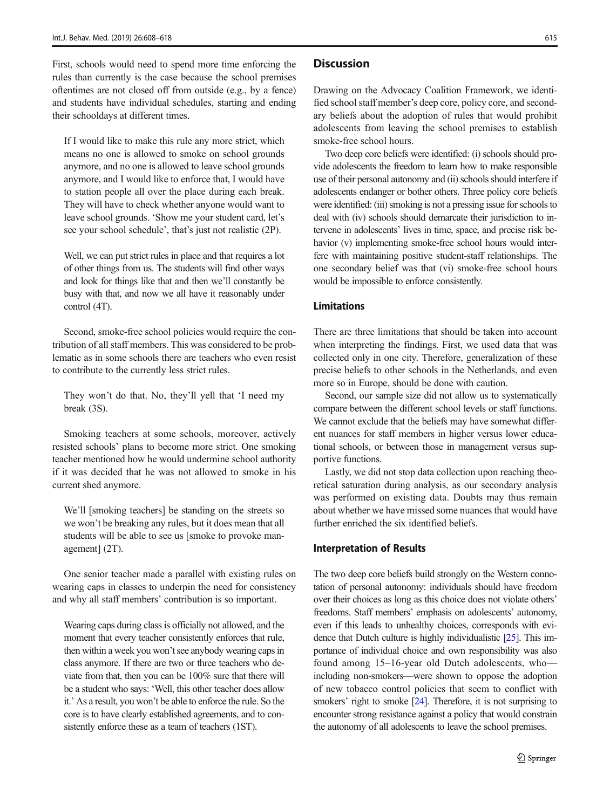First, schools would need to spend more time enforcing the rules than currently is the case because the school premises oftentimes are not closed off from outside (e.g., by a fence) and students have individual schedules, starting and ending their schooldays at different times.

If I would like to make this rule any more strict, which means no one is allowed to smoke on school grounds anymore, and no one is allowed to leave school grounds anymore, and I would like to enforce that, I would have to station people all over the place during each break. They will have to check whether anyone would want to leave school grounds. 'Show me your student card, let's see your school schedule', that's just not realistic (2P).

Well, we can put strict rules in place and that requires a lot of other things from us. The students will find other ways and look for things like that and then we'll constantly be busy with that, and now we all have it reasonably under control (4T).

Second, smoke-free school policies would require the contribution of all staff members. This was considered to be problematic as in some schools there are teachers who even resist to contribute to the currently less strict rules.

They won't do that. No, they'll yell that 'I need my break (3S).

Smoking teachers at some schools, moreover, actively resisted schools' plans to become more strict. One smoking teacher mentioned how he would undermine school authority if it was decided that he was not allowed to smoke in his current shed anymore.

We'll [smoking teachers] be standing on the streets so we won't be breaking any rules, but it does mean that all students will be able to see us [smoke to provoke management] (2T).

One senior teacher made a parallel with existing rules on wearing caps in classes to underpin the need for consistency and why all staff members' contribution is so important.

Wearing caps during class is officially not allowed, and the moment that every teacher consistently enforces that rule, then within a week you won't see anybody wearing caps in class anymore. If there are two or three teachers who deviate from that, then you can be 100% sure that there will be a student who says: 'Well, this other teacher does allow it.' As a result, you won't be able to enforce the rule. So the core is to have clearly established agreements, and to consistently enforce these as a team of teachers (1ST).

#### **Discussion**

Drawing on the Advocacy Coalition Framework, we identified school staff member's deep core, policy core, and secondary beliefs about the adoption of rules that would prohibit adolescents from leaving the school premises to establish smoke-free school hours.

Two deep core beliefs were identified: (i) schools should provide adolescents the freedom to learn how to make responsible use of their personal autonomy and (ii) schools should interfere if adolescents endanger or bother others. Three policy core beliefs were identified: (iii) smoking is not a pressing issue for schools to deal with (iv) schools should demarcate their jurisdiction to intervene in adolescents' lives in time, space, and precise risk behavior (v) implementing smoke-free school hours would interfere with maintaining positive student-staff relationships. The one secondary belief was that (vi) smoke-free school hours would be impossible to enforce consistently.

#### Limitations

There are three limitations that should be taken into account when interpreting the findings. First, we used data that was collected only in one city. Therefore, generalization of these precise beliefs to other schools in the Netherlands, and even more so in Europe, should be done with caution.

Second, our sample size did not allow us to systematically compare between the different school levels or staff functions. We cannot exclude that the beliefs may have somewhat different nuances for staff members in higher versus lower educational schools, or between those in management versus supportive functions.

Lastly, we did not stop data collection upon reaching theoretical saturation during analysis, as our secondary analysis was performed on existing data. Doubts may thus remain about whether we have missed some nuances that would have further enriched the six identified beliefs.

#### Interpretation of Results

The two deep core beliefs build strongly on the Western connotation of personal autonomy: individuals should have freedom over their choices as long as this choice does not violate others' freedoms. Staff members' emphasis on adolescents' autonomy, even if this leads to unhealthy choices, corresponds with evidence that Dutch culture is highly individualistic [\[25\]](#page-11-0). This importance of individual choice and own responsibility was also found among 15–16-year old Dutch adolescents, who including non-smokers—were shown to oppose the adoption of new tobacco control policies that seem to conflict with smokers' right to smoke [\[24](#page-11-0)]. Therefore, it is not surprising to encounter strong resistance against a policy that would constrain the autonomy of all adolescents to leave the school premises.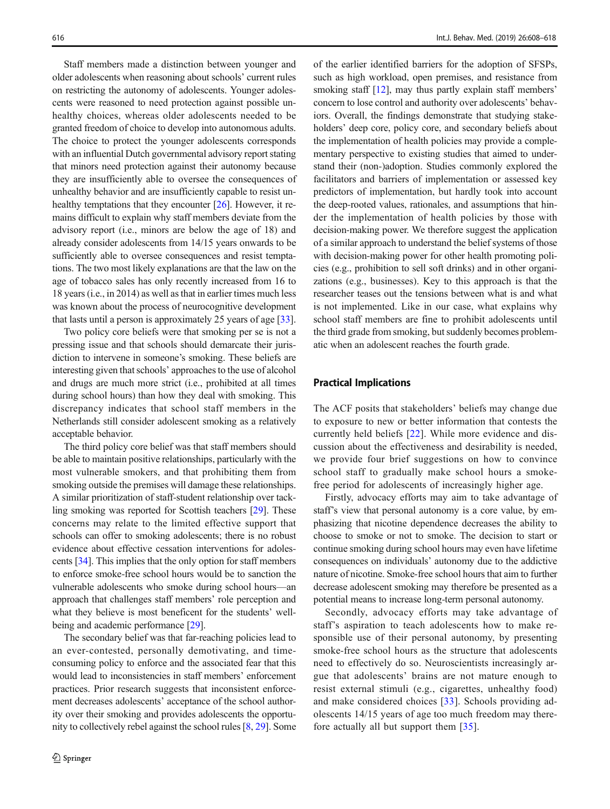Staff members made a distinction between younger and older adolescents when reasoning about schools' current rules on restricting the autonomy of adolescents. Younger adolescents were reasoned to need protection against possible unhealthy choices, whereas older adolescents needed to be granted freedom of choice to develop into autonomous adults. The choice to protect the younger adolescents corresponds with an influential Dutch governmental advisory report stating that minors need protection against their autonomy because they are insufficiently able to oversee the consequences of unhealthy behavior and are insufficiently capable to resist un-healthy temptations that they encounter [\[26](#page-11-0)]. However, it remains difficult to explain why staff members deviate from the advisory report (i.e., minors are below the age of 18) and already consider adolescents from 14/15 years onwards to be sufficiently able to oversee consequences and resist temptations. The two most likely explanations are that the law on the age of tobacco sales has only recently increased from 16 to 18 years (i.e., in 2014) as well as that in earlier times much less was known about the process of neurocognitive development that lasts until a person is approximately 25 years of age [[33\]](#page-11-0).

Two policy core beliefs were that smoking per se is not a pressing issue and that schools should demarcate their jurisdiction to intervene in someone's smoking. These beliefs are interesting given that schools' approaches to the use of alcohol and drugs are much more strict (i.e., prohibited at all times during school hours) than how they deal with smoking. This discrepancy indicates that school staff members in the Netherlands still consider adolescent smoking as a relatively acceptable behavior.

The third policy core belief was that staff members should be able to maintain positive relationships, particularly with the most vulnerable smokers, and that prohibiting them from smoking outside the premises will damage these relationships. A similar prioritization of staff-student relationship over tackling smoking was reported for Scottish teachers [\[29\]](#page-11-0). These concerns may relate to the limited effective support that schools can offer to smoking adolescents; there is no robust evidence about effective cessation interventions for adolescents [\[34](#page-11-0)]. This implies that the only option for staff members to enforce smoke-free school hours would be to sanction the vulnerable adolescents who smoke during school hours—an approach that challenges staff members' role perception and what they believe is most beneficent for the students' well-being and academic performance [[29](#page-11-0)].

The secondary belief was that far-reaching policies lead to an ever-contested, personally demotivating, and timeconsuming policy to enforce and the associated fear that this would lead to inconsistencies in staff members' enforcement practices. Prior research suggests that inconsistent enforcement decreases adolescents' acceptance of the school authority over their smoking and provides adolescents the opportunity to collectively rebel against the school rules [\[8](#page-10-0), [29](#page-11-0)]. Some of the earlier identified barriers for the adoption of SFSPs, such as high workload, open premises, and resistance from smoking staff [\[12\]](#page-10-0), may thus partly explain staff members' concern to lose control and authority over adolescents' behaviors. Overall, the findings demonstrate that studying stakeholders' deep core, policy core, and secondary beliefs about the implementation of health policies may provide a complementary perspective to existing studies that aimed to understand their (non-)adoption. Studies commonly explored the facilitators and barriers of implementation or assessed key predictors of implementation, but hardly took into account the deep-rooted values, rationales, and assumptions that hinder the implementation of health policies by those with decision-making power. We therefore suggest the application of a similar approach to understand the belief systems of those with decision-making power for other health promoting policies (e.g., prohibition to sell soft drinks) and in other organizations (e.g., businesses). Key to this approach is that the researcher teases out the tensions between what is and what is not implemented. Like in our case, what explains why school staff members are fine to prohibit adolescents until the third grade from smoking, but suddenly becomes problematic when an adolescent reaches the fourth grade.

#### Practical Implications

The ACF posits that stakeholders' beliefs may change due to exposure to new or better information that contests the currently held beliefs [\[22\]](#page-11-0). While more evidence and discussion about the effectiveness and desirability is needed, we provide four brief suggestions on how to convince school staff to gradually make school hours a smokefree period for adolescents of increasingly higher age.

Firstly, advocacy efforts may aim to take advantage of staff's view that personal autonomy is a core value, by emphasizing that nicotine dependence decreases the ability to choose to smoke or not to smoke. The decision to start or continue smoking during school hours may even have lifetime consequences on individuals' autonomy due to the addictive nature of nicotine. Smoke-free school hours that aim to further decrease adolescent smoking may therefore be presented as a potential means to increase long-term personal autonomy.

Secondly, advocacy efforts may take advantage of staff's aspiration to teach adolescents how to make responsible use of their personal autonomy, by presenting smoke-free school hours as the structure that adolescents need to effectively do so. Neuroscientists increasingly argue that adolescents' brains are not mature enough to resist external stimuli (e.g., cigarettes, unhealthy food) and make considered choices [[33\]](#page-11-0). Schools providing adolescents 14/15 years of age too much freedom may therefore actually all but support them [\[35](#page-11-0)].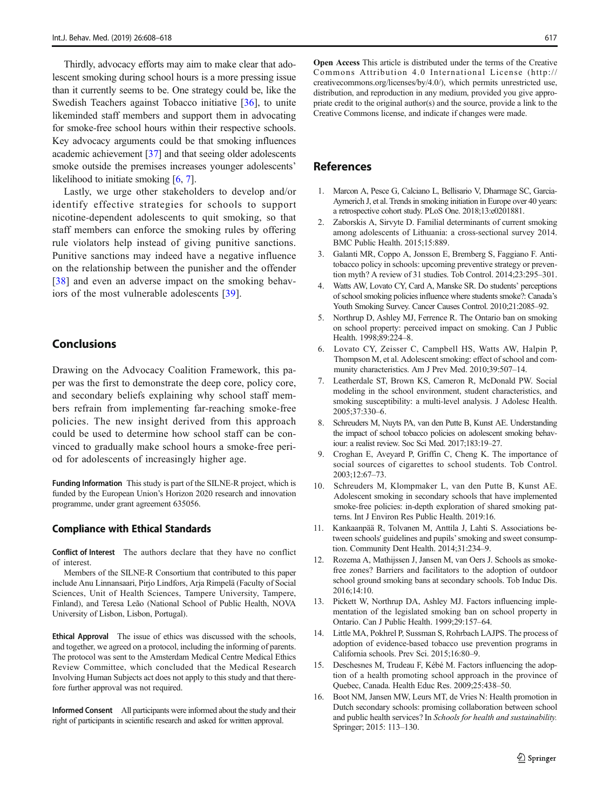<span id="page-10-0"></span>Thirdly, advocacy efforts may aim to make clear that adolescent smoking during school hours is a more pressing issue than it currently seems to be. One strategy could be, like the Swedish Teachers against Tobacco initiative [\[36](#page-11-0)], to unite likeminded staff members and support them in advocating for smoke-free school hours within their respective schools. Key advocacy arguments could be that smoking influences academic achievement [[37\]](#page-11-0) and that seeing older adolescents smoke outside the premises increases younger adolescents' likelihood to initiate smoking [6, 7].

Lastly, we urge other stakeholders to develop and/or identify effective strategies for schools to support nicotine-dependent adolescents to quit smoking, so that staff members can enforce the smoking rules by offering rule violators help instead of giving punitive sanctions. Punitive sanctions may indeed have a negative influence on the relationship between the punisher and the offender [\[38\]](#page-11-0) and even an adverse impact on the smoking behaviors of the most vulnerable adolescents [\[39](#page-11-0)].

#### **Conclusions**

Drawing on the Advocacy Coalition Framework, this paper was the first to demonstrate the deep core, policy core, and secondary beliefs explaining why school staff members refrain from implementing far-reaching smoke-free policies. The new insight derived from this approach could be used to determine how school staff can be convinced to gradually make school hours a smoke-free period for adolescents of increasingly higher age.

Funding Information This study is part of the SILNE-R project, which is funded by the European Union's Horizon 2020 research and innovation programme, under grant agreement 635056.

#### Compliance with Ethical Standards

Conflict of Interest The authors declare that they have no conflict of interest.

Members of the SILNE-R Consortium that contributed to this paper include Anu Linnansaari, Pirjo Lindfors, Arja Rimpelä (Faculty of Social Sciences, Unit of Health Sciences, Tampere University, Tampere, Finland), and Teresa Leão (National School of Public Health, NOVA University of Lisbon, Lisbon, Portugal).

Ethical Approval The issue of ethics was discussed with the schools, and together, we agreed on a protocol, including the informing of parents. The protocol was sent to the Amsterdam Medical Centre Medical Ethics Review Committee, which concluded that the Medical Research Involving Human Subjects act does not apply to this study and that therefore further approval was not required.

Informed Consent All participants were informed about the study and their right of participants in scientific research and asked for written approval.

Open Access This article is distributed under the terms of the Creative Commons Attribution 4.0 International License (http:// creativecommons.org/licenses/by/4.0/), which permits unrestricted use, distribution, and reproduction in any medium, provided you give appropriate credit to the original author(s) and the source, provide a link to the Creative Commons license, and indicate if changes were made.

#### References

- 1. Marcon A, Pesce G, Calciano L, Bellisario V, Dharmage SC, Garcia-Aymerich J, et al. Trends in smoking initiation in Europe over 40 years: a retrospective cohort study. PLoS One. 2018;13:e0201881.
- 2. Zaborskis A, Sirvyte D. Familial determinants of current smoking among adolescents of Lithuania: a cross-sectional survey 2014. BMC Public Health. 2015;15:889.
- 3. Galanti MR, Coppo A, Jonsson E, Bremberg S, Faggiano F. Antitobacco policy in schools: upcoming preventive strategy or prevention myth? A review of 31 studies. Tob Control. 2014;23:295–301.
- 4. Watts AW, Lovato CY, Card A, Manske SR. Do students' perceptions of school smoking policies influence where students smoke?: Canada's Youth Smoking Survey. Cancer Causes Control. 2010;21:2085–92.
- 5. Northrup D, Ashley MJ, Ferrence R. The Ontario ban on smoking on school property: perceived impact on smoking. Can J Public Health. 1998;89:224–8.
- 6. Lovato CY, Zeisser C, Campbell HS, Watts AW, Halpin P, Thompson M, et al. Adolescent smoking: effect of school and community characteristics. Am J Prev Med. 2010;39:507–14.
- 7. Leatherdale ST, Brown KS, Cameron R, McDonald PW. Social modeling in the school environment, student characteristics, and smoking susceptibility: a multi-level analysis. J Adolesc Health. 2005;37:330–6.
- 8. Schreuders M, Nuyts PA, van den Putte B, Kunst AE. Understanding the impact of school tobacco policies on adolescent smoking behaviour: a realist review. Soc Sci Med. 2017;183:19–27.
- 9. Croghan E, Aveyard P, Griffin C, Cheng K. The importance of social sources of cigarettes to school students. Tob Control. 2003;12:67–73.
- 10. Schreuders M, Klompmaker L, van den Putte B, Kunst AE. Adolescent smoking in secondary schools that have implemented smoke-free policies: in-depth exploration of shared smoking patterns. Int J Environ Res Public Health. 2019:16.
- 11. Kankaanpää R, Tolvanen M, Anttila J, Lahti S. Associations between schools' guidelines and pupils'smoking and sweet consumption. Community Dent Health. 2014;31:234–9.
- 12. Rozema A, Mathijssen J, Jansen M, van Oers J. Schools as smokefree zones? Barriers and facilitators to the adoption of outdoor school ground smoking bans at secondary schools. Tob Induc Dis. 2016;14:10.
- 13. Pickett W, Northrup DA, Ashley MJ. Factors influencing implementation of the legislated smoking ban on school property in Ontario. Can J Public Health. 1999;29:157–64.
- 14. Little MA, Pokhrel P, Sussman S, Rohrbach LAJPS. The process of adoption of evidence-based tobacco use prevention programs in California schools. Prev Sci. 2015;16:80–9.
- 15. Deschesnes M, Trudeau F, Kébé M. Factors influencing the adoption of a health promoting school approach in the province of Quebec, Canada. Health Educ Res. 2009;25:438–50.
- 16. Boot NM, Jansen MW, Leurs MT, de Vries N: Health promotion in Dutch secondary schools: promising collaboration between school and public health services? In Schools for health and sustainability. Springer; 2015: 113–130.